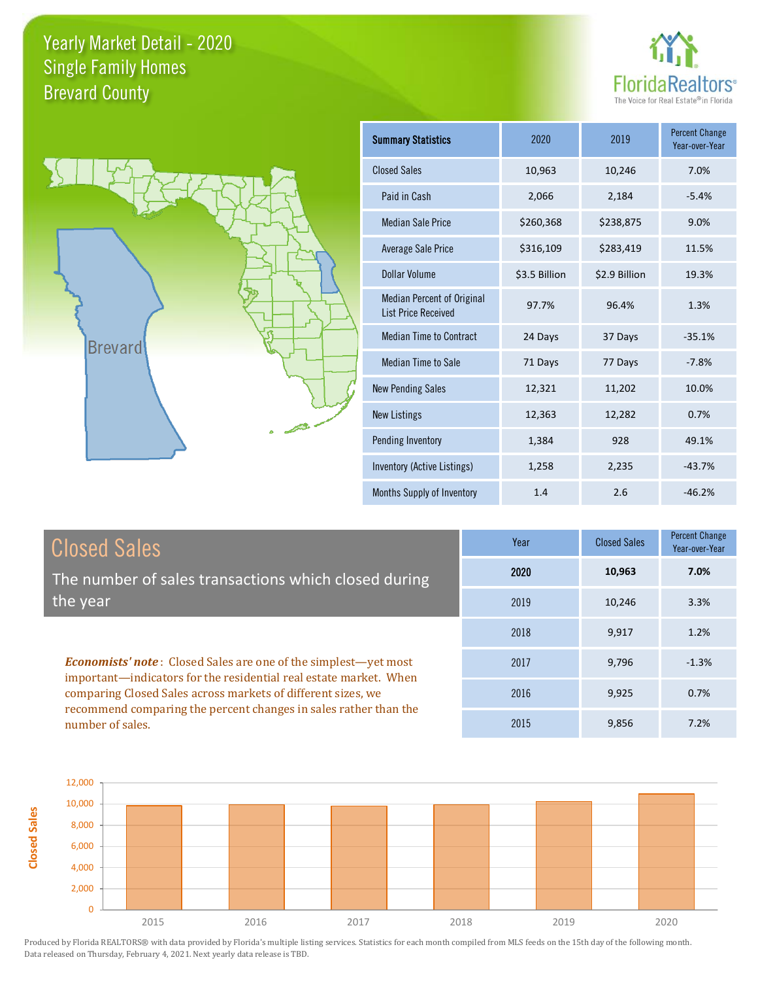**Closed Sales**





| <b>Summary Statistics</b>                                       | 2020          | 2019          | <b>Percent Change</b><br>Year-over-Year |
|-----------------------------------------------------------------|---------------|---------------|-----------------------------------------|
| <b>Closed Sales</b>                                             | 10,963        | 10,246        | 7.0%                                    |
| Paid in Cash                                                    | 2,066         | 2,184         | $-5.4%$                                 |
| <b>Median Sale Price</b>                                        | \$260,368     | \$238,875     | 9.0%                                    |
| <b>Average Sale Price</b>                                       | \$316,109     | \$283,419     | 11.5%                                   |
| Dollar Volume                                                   | \$3.5 Billion | \$2.9 Billion | 19.3%                                   |
| <b>Median Percent of Original</b><br><b>List Price Received</b> | 97.7%         | 96.4%         | 1.3%                                    |
| <b>Median Time to Contract</b>                                  | 24 Days       | 37 Days       | $-35.1%$                                |
| <b>Median Time to Sale</b>                                      | 71 Days       | 77 Days       | $-7.8%$                                 |
| <b>New Pending Sales</b>                                        | 12,321        | 11,202        | 10.0%                                   |
| <b>New Listings</b>                                             | 12,363        | 12,282        | 0.7%                                    |
| Pending Inventory                                               | 1,384         | 928           | 49.1%                                   |
| Inventory (Active Listings)                                     | 1,258         | 2,235         | $-43.7%$                                |
| Months Supply of Inventory                                      | 1.4           | 2.6           | $-46.2%$                                |

| <b>Closed Sales</b>                                                                                                                                                                                         | Year | <b>Closed Sales</b> | <b>Percent Change</b><br>Year-over-Year |
|-------------------------------------------------------------------------------------------------------------------------------------------------------------------------------------------------------------|------|---------------------|-----------------------------------------|
| The number of sales transactions which closed during                                                                                                                                                        | 2020 | 10,963              | 7.0%                                    |
| the year                                                                                                                                                                                                    | 2019 | 10,246              | 3.3%                                    |
| <b>Economists' note:</b> Closed Sales are one of the simplest—yet most<br>important—indicators for the residential real estate market. When<br>comparing Closed Sales across markets of different sizes, we | 2018 | 9.917               | 1.2%                                    |
|                                                                                                                                                                                                             | 2017 | 9.796               | $-1.3%$                                 |
|                                                                                                                                                                                                             | 2016 | 9,925               | 0.7%                                    |
| recommend comparing the percent changes in sales rather than the<br>number of sales.                                                                                                                        | 2015 | 9,856               | 7.2%                                    |

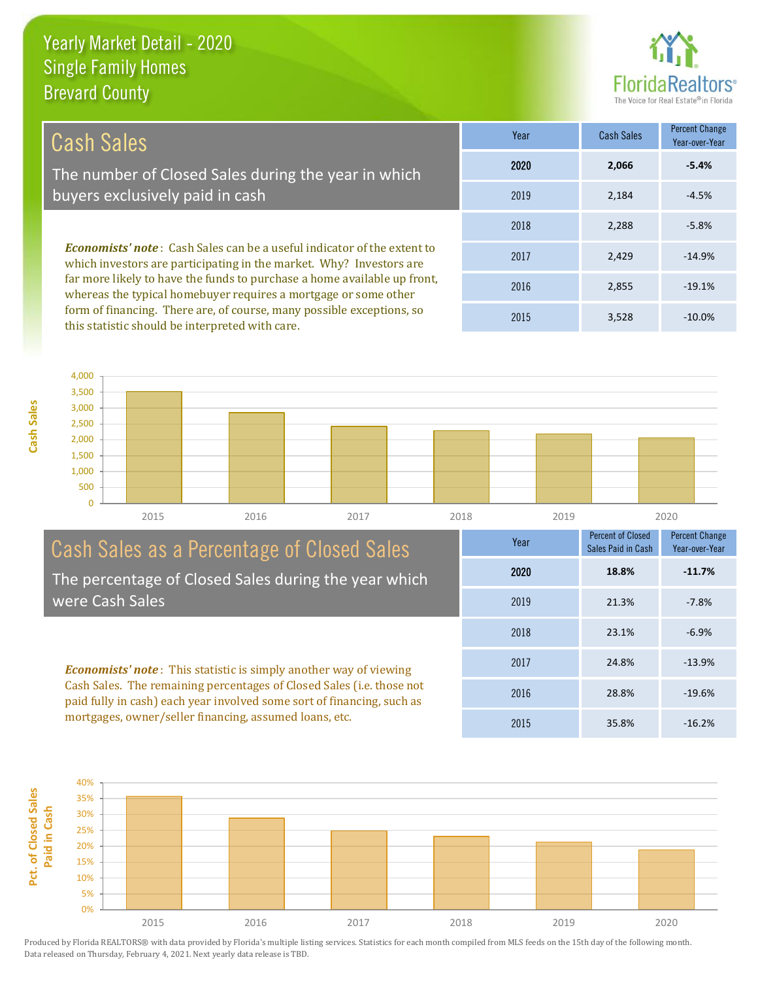this statistic should be interpreted with care.



3,528 -10.0%

| Cash Sales                                                                                                                                                                                                                                                                                           | Year | <b>Cash Sales</b> | <b>Percent Change</b><br>Year-over-Year |
|------------------------------------------------------------------------------------------------------------------------------------------------------------------------------------------------------------------------------------------------------------------------------------------------------|------|-------------------|-----------------------------------------|
| The number of Closed Sales during the year in which                                                                                                                                                                                                                                                  | 2020 | 2,066             | $-5.4%$                                 |
| buyers exclusively paid in cash                                                                                                                                                                                                                                                                      | 2019 | 2.184             | $-4.5%$                                 |
|                                                                                                                                                                                                                                                                                                      | 2018 | 2,288             | $-5.8%$                                 |
| <b>Economists' note:</b> Cash Sales can be a useful indicator of the extent to<br>which investors are participating in the market. Why? Investors are<br>far more likely to have the funds to purchase a home available up front,<br>whereas the typical homebuyer requires a mortgage or some other | 2017 | 2.429             | $-14.9%$                                |
|                                                                                                                                                                                                                                                                                                      | 2016 | 2,855             | $-19.1%$                                |
| form of financing. There are, of course, many possible exceptions, so                                                                                                                                                                                                                                | 001F | 2.50              | 10.001                                  |

2015

0 500 1,000 1,500 2,000 2,500 3,000 3,500 4,000 2015 2016 2017 2018 2019 2020

| Cash Sales as a Percentage of Closed Sales                                                                                                                                                                                                                                            | Year | <b>Percent of Closed</b><br>Sales Paid in Cash | <b>Percent Change</b><br>Year-over-Year |
|---------------------------------------------------------------------------------------------------------------------------------------------------------------------------------------------------------------------------------------------------------------------------------------|------|------------------------------------------------|-----------------------------------------|
| The percentage of Closed Sales during the year which                                                                                                                                                                                                                                  | 2020 | 18.8%                                          | $-11.7%$                                |
| were Cash Sales                                                                                                                                                                                                                                                                       | 2019 | 21.3%                                          | $-7.8%$                                 |
| <b>Economists' note:</b> This statistic is simply another way of viewing<br>Cash Sales. The remaining percentages of Closed Sales (i.e. those not<br>paid fully in cash) each year involved some sort of financing, such as<br>mortgages, owner/seller financing, assumed loans, etc. | 2018 | 23.1%                                          | $-6.9%$                                 |
|                                                                                                                                                                                                                                                                                       | 2017 | 24.8%                                          | $-13.9%$                                |
|                                                                                                                                                                                                                                                                                       | 2016 | 28.8%                                          | $-19.6%$                                |
|                                                                                                                                                                                                                                                                                       | 2015 | 35.8%                                          | $-16.2%$                                |

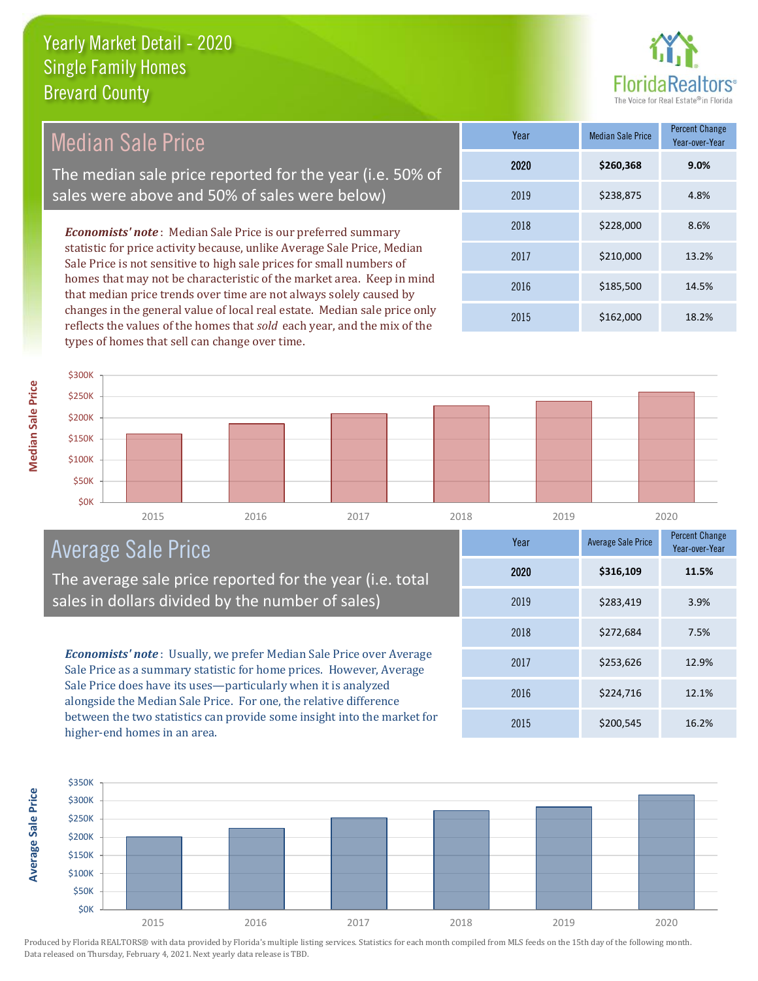

Median Sale Price The median sale price reported for the year (i.e. 50% of sales were above and 50% of sales were below)

*Economists' note* : Median Sale Price is our preferred summary statistic for price activity because, unlike Average Sale Price, Median Sale Price is not sensitive to high sale prices for small numbers of homes that may not be characteristic of the market area. Keep in mind that median price trends over time are not always solely caused by changes in the general value of local real estate. Median sale price only reflects the values of the homes that *sold* each year, and the mix of the types of homes that sell can change over time.

| Year | <b>Median Sale Price</b> | <b>Percent Change</b><br>Year-over-Year |
|------|--------------------------|-----------------------------------------|
| 2020 | \$260,368                | 9.0%                                    |
| 2019 | \$238,875                | 4.8%                                    |
| 2018 | \$228,000                | 8.6%                                    |
| 2017 | \$210,000                | 13.2%                                   |
| 2016 | \$185,500                | 14.5%                                   |
| 2015 | \$162,000                | 18.2%                                   |





# Average Sale Price

The average sale price reported for the year (i.e. total sales in dollars divided by the number of sales)

*Economists' note* : Usually, we prefer Median Sale Price over Average Sale Price as a summary statistic for home prices. However, Average Sale Price does have its uses—particularly when it is analyzed alongside the Median Sale Price. For one, the relative difference between the two statistics can provide some insight into the market for higher-end homes in an area.

| Year | <b>Average Sale Price</b> | <b>Percent Change</b><br>Year-over-Year |
|------|---------------------------|-----------------------------------------|
| 2020 | \$316,109                 | 11.5%                                   |
| 2019 | \$283,419                 | 3.9%                                    |
| 2018 | \$272,684                 | 7.5%                                    |
| 2017 | \$253,626                 | 12.9%                                   |
| 2016 | \$224,716                 | 12.1%                                   |
| 2015 | \$200,545                 | 16.2%                                   |



**Average Sale Price**

**Average Sale Price**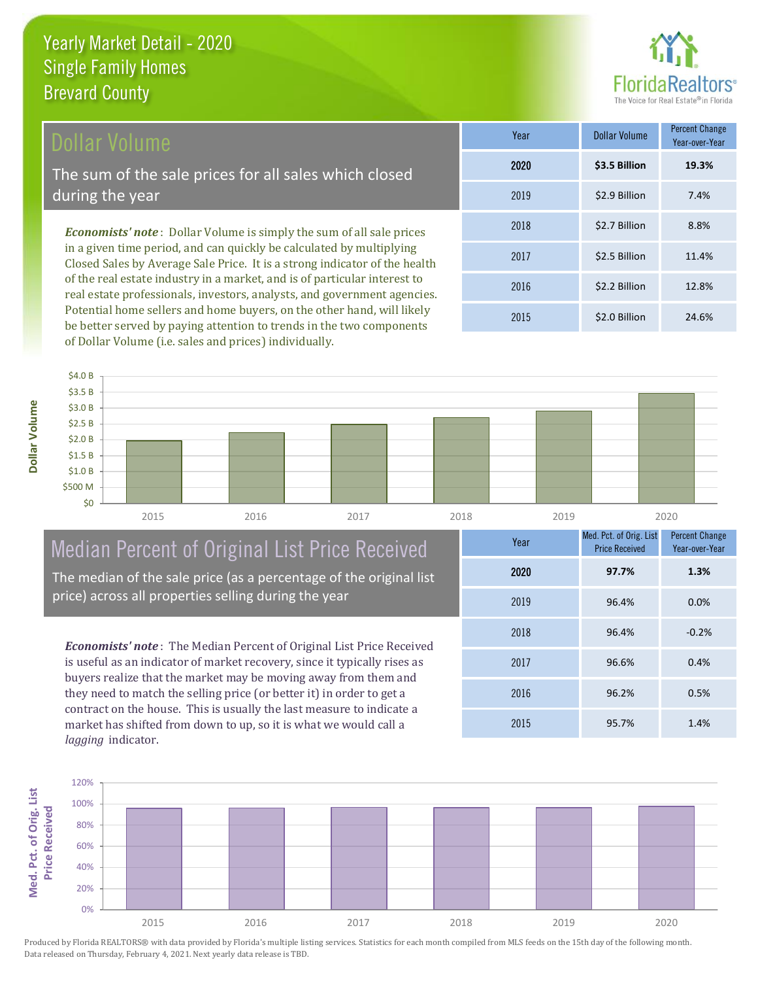# Dollar Volume

The sum of the sale prices for all sales which closed during the year

*Economists' note* : Dollar Volume is simply the sum of all sale prices in a given time period, and can quickly be calculated by multiplying Closed Sales by Average Sale Price. It is a strong indicator of the health of the real estate industry in a market, and is of particular interest to real estate professionals, investors, analysts, and government agencies. Potential home sellers and home buyers, on the other hand, will likely be better served by paying attention to trends in the two components of Dollar Volume (i.e. sales and prices) individually.

| Year | <b>Dollar Volume</b> | <b>Percent Change</b><br>Year-over-Year |
|------|----------------------|-----------------------------------------|
| 2020 | \$3.5 Billion        | 19.3%                                   |
| 2019 | \$2.9 Billion        | 7.4%                                    |
| 2018 | \$2.7 Billion        | 8.8%                                    |
| 2017 | \$2.5 Billion        | 11.4%                                   |
| 2016 | \$2.2 Billion        | 12.8%                                   |
| 2015 | \$2.0 Billion        | 24.6%                                   |



# Median Percent of Original List Price Received

The median of the sale price (as a percentage of the original list price) across all properties selling during the year

*Economists' note* : The Median Percent of Original List Price Received is useful as an indicator of market recovery, since it typically rises as buyers realize that the market may be moving away from them and they need to match the selling price (or better it) in order to get a contract on the house. This is usually the last measure to indicate a market has shifted from down to up, so it is what we would call a *lagging* indicator.

| Year | Med. Pct. of Orig. List<br><b>Price Received</b> | <b>Percent Change</b><br>Year-over-Year |
|------|--------------------------------------------------|-----------------------------------------|
| 2020 | 97.7%                                            | 1.3%                                    |
| 2019 | 96.4%                                            | 0.0%                                    |
| 2018 | 96.4%                                            | $-0.2%$                                 |
| 2017 | 96.6%                                            | 0.4%                                    |
| 2016 | 96.2%                                            | 0.5%                                    |
| 2015 | 95.7%                                            | 1.4%                                    |

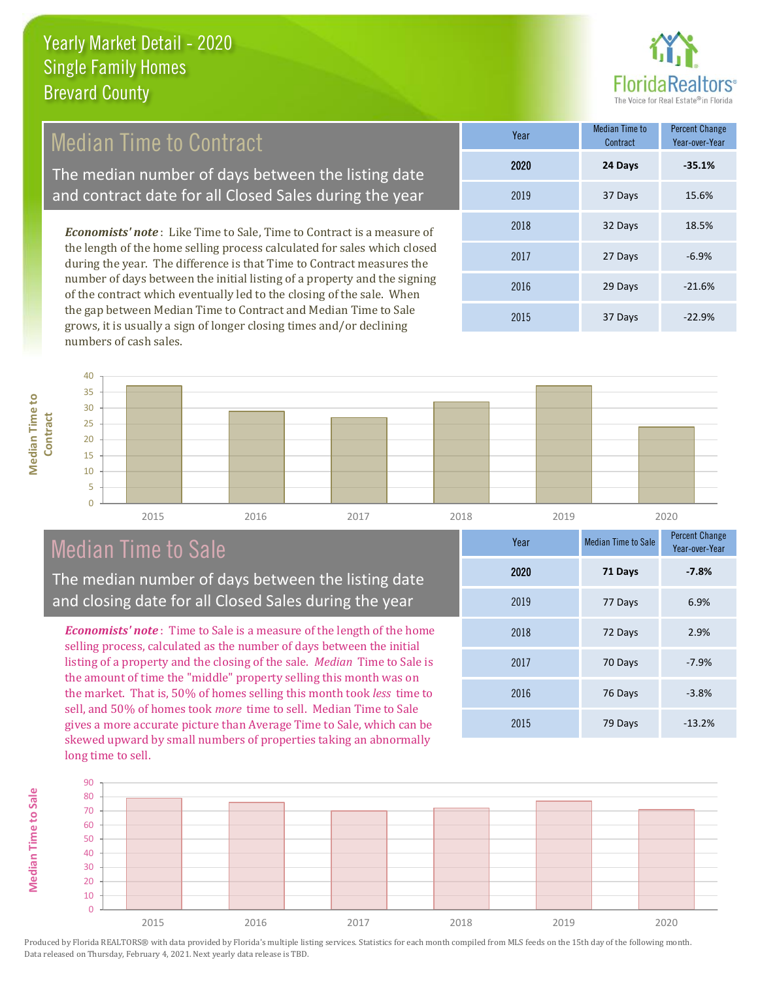

# Median Time to Contract

The median number of days between the listing date and contract date for all Closed Sales during the year

*Economists' note* : Like Time to Sale, Time to Contract is a measure of the length of the home selling process calculated for sales which closed during the year. The difference is that Time to Contract measures the number of days between the initial listing of a property and the signing of the contract which eventually led to the closing of the sale. When the gap between Median Time to Contract and Median Time to Sale grows, it is usually a sign of longer closing times and/or declining numbers of cash sales.

| Year | <b>Median Time to</b><br>Contract | <b>Percent Change</b><br>Year-over-Year |
|------|-----------------------------------|-----------------------------------------|
| 2020 | 24 Days                           | $-35.1%$                                |
| 2019 | 37 Days                           | 15.6%                                   |
| 2018 | 32 Days                           | 18.5%                                   |
| 2017 | 27 Days                           | $-6.9%$                                 |
| 2016 | 29 Days                           | $-21.6%$                                |
| 2015 | 37 Days                           | $-22.9%$                                |



# Median Time to Sale

**Median Time to Sale**

**Median Time to Sale** 

The median number of days between the listing date and closing date for all Closed Sales during the year

*Economists' note* : Time to Sale is a measure of the length of the home selling process, calculated as the number of days between the initial listing of a property and the closing of the sale. *Median* Time to Sale is the amount of time the "middle" property selling this month was on the market. That is, 50% of homes selling this month took *less* time to sell, and 50% of homes took *more* time to sell. Median Time to Sale gives a more accurate picture than Average Time to Sale, which can be skewed upward by small numbers of properties taking an abnormally long time to sell.

| Year | <b>Median Time to Sale</b> | <b>Percent Change</b><br>Year-over-Year |
|------|----------------------------|-----------------------------------------|
| 2020 | 71 Days                    | $-7.8%$                                 |
| 2019 | 77 Days                    | 6.9%                                    |
| 2018 | 72 Days                    | 2.9%                                    |
| 2017 | 70 Days                    | $-7.9%$                                 |
| 2016 | 76 Days                    | $-3.8%$                                 |
| 2015 | 79 Days                    | $-13.2%$                                |

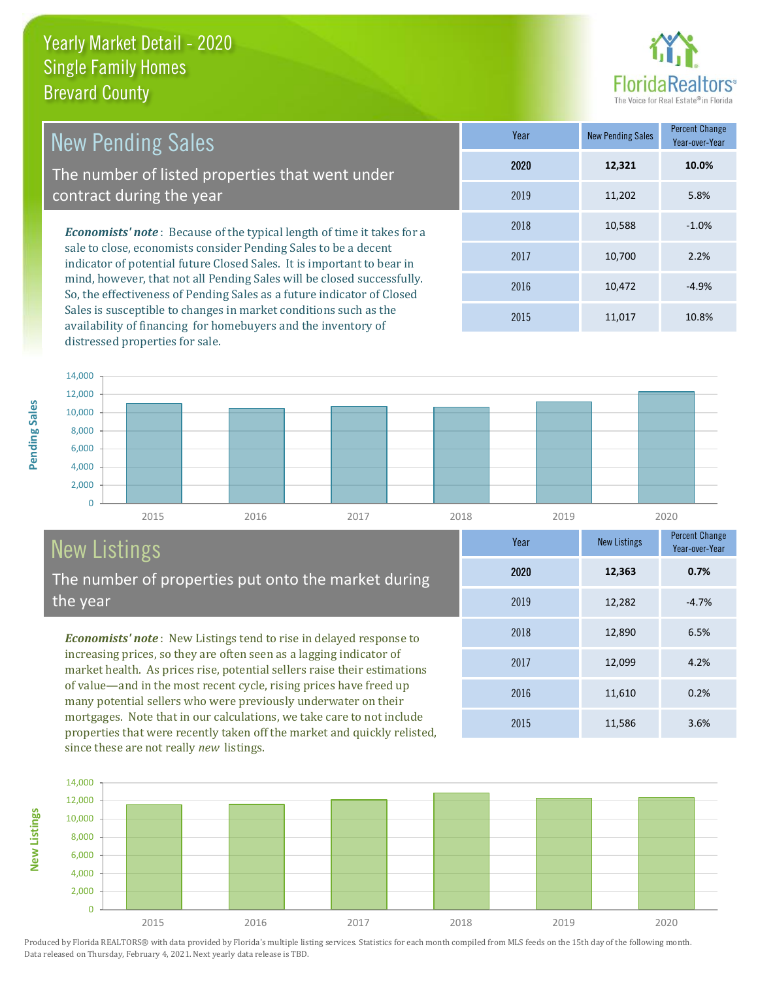

12,099 4.2%

Year-over-Year

**0.7%**

**Year** New Listings Percent Change

2015 11,586 3.6%

2016 11,610 0.2%

2018 12,890 6.5%

2019 12,282 -4.7%

2020 **12,363**

2017

| <b>New Pending Sales</b>                                                                                                                                                                                                   | Year | <b>New Pending Sales</b> | <b>Percent Change</b><br>Year-over-Year |
|----------------------------------------------------------------------------------------------------------------------------------------------------------------------------------------------------------------------------|------|--------------------------|-----------------------------------------|
| The number of listed properties that went under                                                                                                                                                                            | 2020 | 12,321                   | 10.0%                                   |
| contract during the year                                                                                                                                                                                                   | 2019 | 11,202                   | 5.8%                                    |
| <b>Economists' note:</b> Because of the typical length of time it takes for a<br>sale to close, economists consider Pending Sales to be a decent<br>indicator of potential future Closed Sales. It is important to bear in | 2018 | 10,588                   | $-1.0%$                                 |
|                                                                                                                                                                                                                            | 2017 | 10.700                   | 2.2%                                    |
| mind, however, that not all Pending Sales will be closed successfully.<br>Cartha effectiveness of Dougling Color as a future indicator of Closed                                                                           | 2016 | 10.472                   | $-4.9%$                                 |

So, the effectiveness of Pending Sales as a future indicator of Closed Sales is susceptible to changes in market conditions such as the availability of financing for homebuyers and the inventory of distressed properties for sale.

2015 11,017 10.8%



# New Listings

**New Listings**

**Pending Sales**

Pending Sales

The number of properties put onto the market during the year

*Economists' note* : New Listings tend to rise in delayed response to increasing prices, so they are often seen as a lagging indicator of market health. As prices rise, potential sellers raise their estimations of value—and in the most recent cycle, rising prices have freed up many potential sellers who were previously underwater on their mortgages. Note that in our calculations, we take care to not include properties that were recently taken off the market and quickly relisted, since these are not really *new* listings.

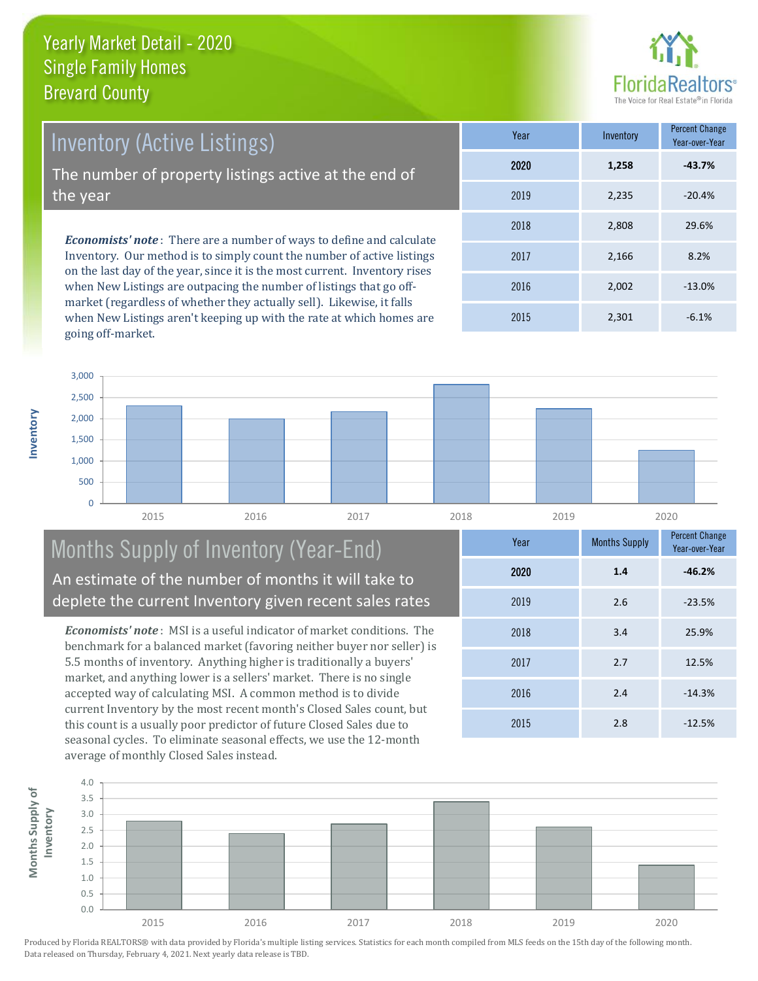

*Economists' note* : There are a number of ways to define and calculate Inventory. Our method is to simply count the number of active listings on the last day of the year, since it is the most current. Inventory rises when New Listings are outpacing the number of listings that go off-Year Inventory Percent Change 2018 2,808 Inventory (Active Listings) The number of property listings active at the end of the year

market (regardless of whether they actually sell). Likewise, it falls when New Listings aren't keeping up with the rate at which homes are going off-market.

|      |       | Year-over-Year |
|------|-------|----------------|
| 2020 | 1,258 | $-43.7%$       |
| 2019 | 2,235 | $-20.4%$       |
| 2018 | 2,808 | 29.6%          |
| 2017 | 2,166 | 8.2%           |
| 2016 | 2,002 | $-13.0%$       |
| 2015 | 2,301 | $-6.1%$        |



# Months Supply of Inventory (Year-End) An estimate of the number of months it will take to deplete the current Inventory given recent sales rates

*Economists' note* : MSI is a useful indicator of market conditions. The benchmark for a balanced market (favoring neither buyer nor seller) is 5.5 months of inventory. Anything higher is traditionally a buyers' market, and anything lower is a sellers' market. There is no single accepted way of calculating MSI. A common method is to divide current Inventory by the most recent month's Closed Sales count, but this count is a usually poor predictor of future Closed Sales due to seasonal cycles. To eliminate seasonal effects, we use the 12-month average of monthly Closed Sales instead.



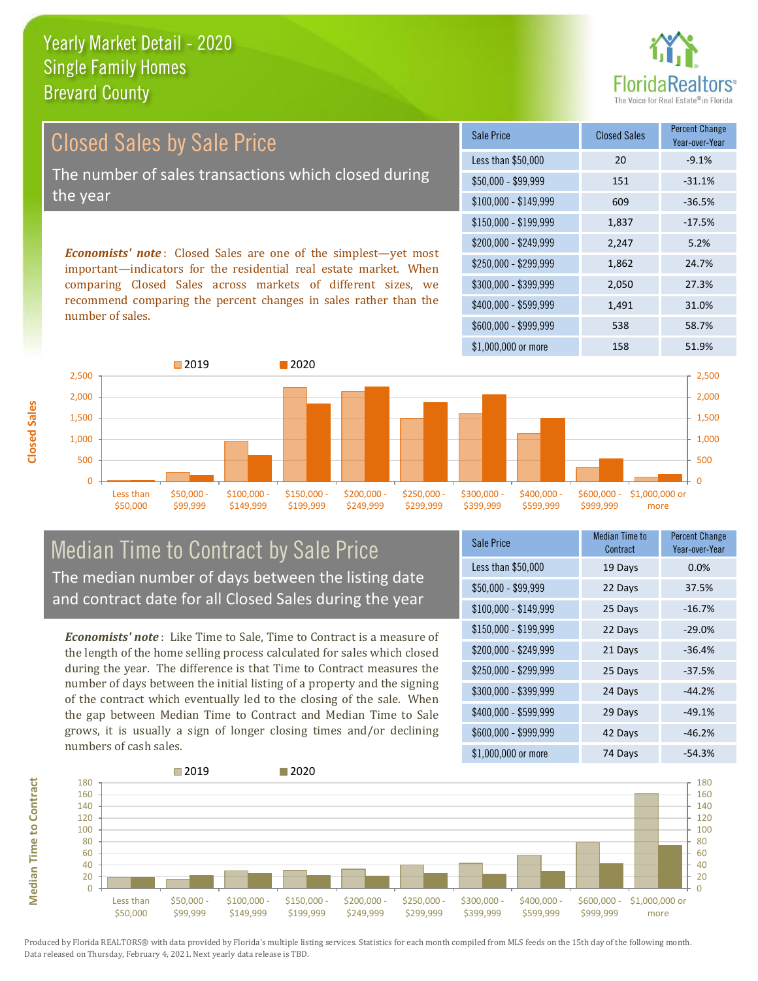

Year-over-Year

*Economists' note* : Closed Sales are one of the simplest—yet most \$150,000 - \$199,999 1,837 -17.5% \$200,000 - \$249,999 2,247 5.2% \$100,000 - \$149,999 609 -36.5% Sale Price Closed Sales Percent Change Less than \$50,000 20 20 -9.1% \$50,000 - \$99,999 151 -31.1% Closed Sales by Sale Price The number of sales transactions which closed during the year

important—indicators for the residential real estate market. When comparing Closed Sales across markets of different sizes, we recommend comparing the percent changes in sales rather than the number of sales.



# Median Time to Contract by Sale Price The median number of days between the listing date and contract date for all Closed Sales during the year

*Economists' note* : Like Time to Sale, Time to Contract is a measure of the length of the home selling process calculated for sales which closed during the year. The difference is that Time to Contract measures the number of days between the initial listing of a property and the signing of the contract which eventually led to the closing of the sale. When the gap between Median Time to Contract and Median Time to Sale grows, it is usually a sign of longer closing times and/or declining numbers of cash sales.

| Sale Price            | <b>Median Time to</b><br>Contract | <b>Percent Change</b><br>Year-over-Year |
|-----------------------|-----------------------------------|-----------------------------------------|
| Less than \$50,000    | 19 Days                           | 0.0%                                    |
| $$50,000 - $99,999$   | 22 Days                           | 37.5%                                   |
| $$100,000 - $149,999$ | 25 Days                           | $-16.7%$                                |
| $$150,000 - $199,999$ | 22 Days                           | $-29.0%$                                |
| \$200,000 - \$249,999 | 21 Days                           | $-36.4%$                                |
| \$250,000 - \$299,999 | 25 Days                           | $-37.5%$                                |
| \$300,000 - \$399,999 | 24 Days                           | $-44.2%$                                |
| \$400,000 - \$599,999 | 29 Days                           | $-49.1%$                                |
| \$600,000 - \$999,999 | 42 Days                           | $-46.2%$                                |
| \$1,000,000 or more   | 74 Days                           | $-54.3%$                                |

\$250,000 - \$299,999 1,862 24.7% \$300,000 - \$399,999 2,050 27.3%

\$400,000 - \$599,999 1,491 31.0%



Produced by Florida REALTORS® with data provided by Florida's multiple listing services. Statistics for each month compiled from MLS feeds on the 15th day of the following month. Data released on Thursday, February 4, 2021. Next yearly data release is TBD.

**Median Time to Contract**

**Median Time to Contract**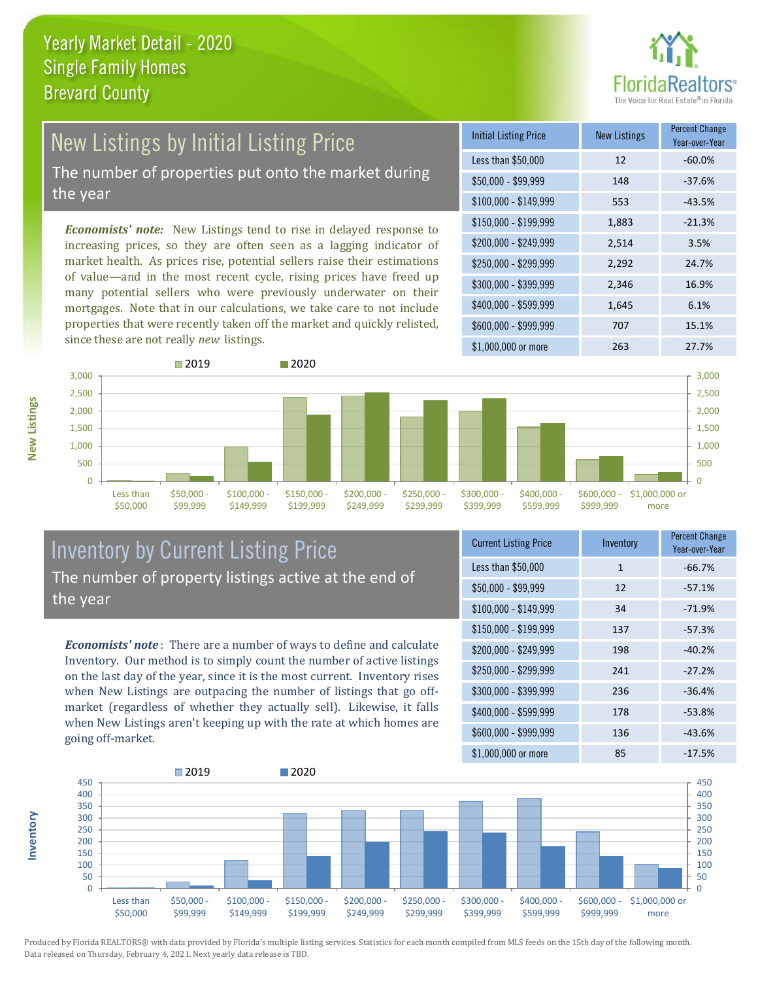

# New Listings by Initial Listing Price The number of properties put onto the market during

the year

*Economists' note:* New Listings tend to rise in delayed response to increasing prices, so they are often seen as a lagging indicator of market health. As prices rise, potential sellers raise their estimations of value—and in the most recent cycle, rising prices have freed up many potential sellers who were previously underwater on their mortgages. Note that in our calculations, we take care to not include properties that were recently taken off the market and quickly relisted, since these are not really *new* listings.

| <b>Initial Listing Price</b> | <b>New Listings</b> | <b>Percent Change</b><br>Year-over-Year |
|------------------------------|---------------------|-----------------------------------------|
| Less than \$50,000           | 12                  | $-60.0%$                                |
| $$50,000 - $99,999$          | 148                 | $-37.6%$                                |
| $$100,000 - $149,999$        | 553                 | $-43.5%$                                |
| $$150,000 - $199,999$        | 1,883               | $-21.3%$                                |
| \$200,000 - \$249,999        | 2,514               | 3.5%                                    |
| \$250,000 - \$299,999        | 2,292               | 24.7%                                   |
| \$300,000 - \$399,999        | 2,346               | 16.9%                                   |
| \$400,000 - \$599,999        | 1,645               | 6.1%                                    |
| \$600,000 - \$999,999        | 707                 | 15.1%                                   |
| \$1,000,000 or more          | 263                 | 27.7%                                   |



# Inventory by Current Listing Price The number of property listings active at the end of the year

*Economists' note* : There are a number of ways to define and calculate Inventory. Our method is to simply count the number of active listings on the last day of the year, since it is the most current. Inventory rises when New Listings are outpacing the number of listings that go offmarket (regardless of whether they actually sell). Likewise, it falls when New Listings aren't keeping up with the rate at which homes are going off-market.

| <b>Current Listing Price</b> | Inventory    | Percent Change<br>Year-over-Year |
|------------------------------|--------------|----------------------------------|
| Less than \$50,000           | $\mathbf{1}$ | $-66.7%$                         |
| $$50,000 - $99,999$          | 12           | $-57.1%$                         |
| $$100,000 - $149,999$        | 34           | $-71.9%$                         |
| $$150,000 - $199,999$        | 137          | $-57.3%$                         |
| \$200,000 - \$249,999        | 198          | $-40.2%$                         |
| \$250,000 - \$299,999        | 241          | $-27.2%$                         |
| \$300,000 - \$399,999        | 236          | $-36.4%$                         |
| \$400,000 - \$599,999        | 178          | $-53.8%$                         |
| \$600,000 - \$999,999        | 136          | $-43.6%$                         |
| \$1,000,000 or more          | 85           | $-17.5%$                         |



Produced by Florida REALTORS® with data provided by Florida's multiple listing services. Statistics for each month compiled from MLS feeds on the 15th day of the following month. Data released on Thursday, February 4, 2021. Next yearly data release is TBD.

**Inventory**